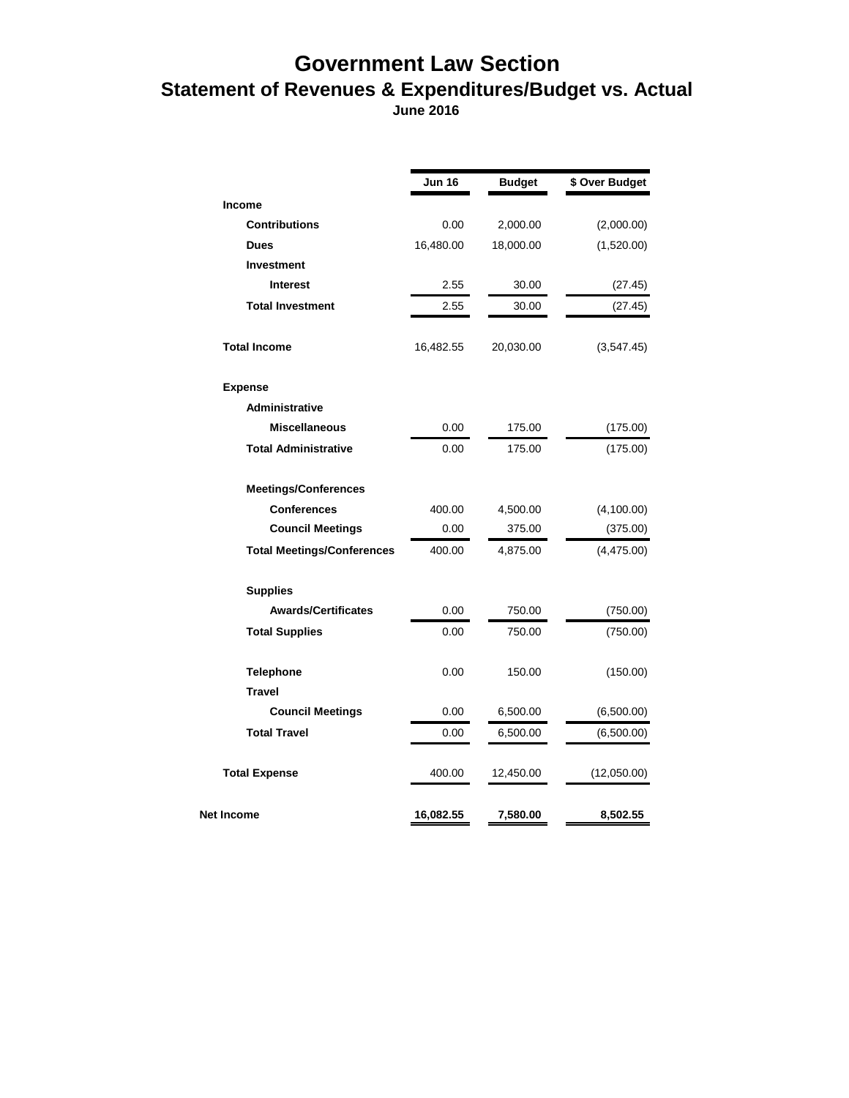## **Government Law Section Statement of Revenues & Expenditures/Budget vs. Actual**

 **June 2016**

|                                   | Jun 16    | <b>Budget</b> | \$ Over Budget |
|-----------------------------------|-----------|---------------|----------------|
| <b>Income</b>                     |           |               |                |
| <b>Contributions</b>              | 0.00      | 2,000.00      | (2,000.00)     |
| <b>Dues</b>                       | 16,480.00 | 18,000.00     | (1,520.00)     |
| Investment                        |           |               |                |
| <b>Interest</b>                   | 2.55      | 30.00         | (27.45)        |
| <b>Total Investment</b>           | 2.55      | 30.00         | (27.45)        |
| <b>Total Income</b>               | 16,482.55 | 20,030.00     | (3, 547.45)    |
| <b>Expense</b>                    |           |               |                |
| Administrative                    |           |               |                |
| <b>Miscellaneous</b>              | 0.00      | 175.00        | (175.00)       |
| <b>Total Administrative</b>       | 0.00      | 175.00        | (175.00)       |
| <b>Meetings/Conferences</b>       |           |               |                |
| Conferences                       | 400.00    | 4,500.00      | (4,100.00)     |
| <b>Council Meetings</b>           | 0.00      | 375.00        | (375.00)       |
| <b>Total Meetings/Conferences</b> | 400.00    | 4,875.00      | (4,475.00)     |
| <b>Supplies</b>                   |           |               |                |
| <b>Awards/Certificates</b>        | 0.00      | 750.00        | (750.00)       |
| <b>Total Supplies</b>             | 0.00      | 750.00        | (750.00)       |
| <b>Telephone</b>                  | 0.00      | 150.00        | (150.00)       |
| <b>Travel</b>                     |           |               |                |
| <b>Council Meetings</b>           | 0.00      | 6,500.00      | (6,500.00)     |
| <b>Total Travel</b>               | 0.00      | 6,500.00      | (6,500.00)     |
| <b>Total Expense</b>              | 400.00    | 12,450.00     | (12,050.00)    |
| Net Income                        | 16,082.55 | 7,580.00      | 8,502.55       |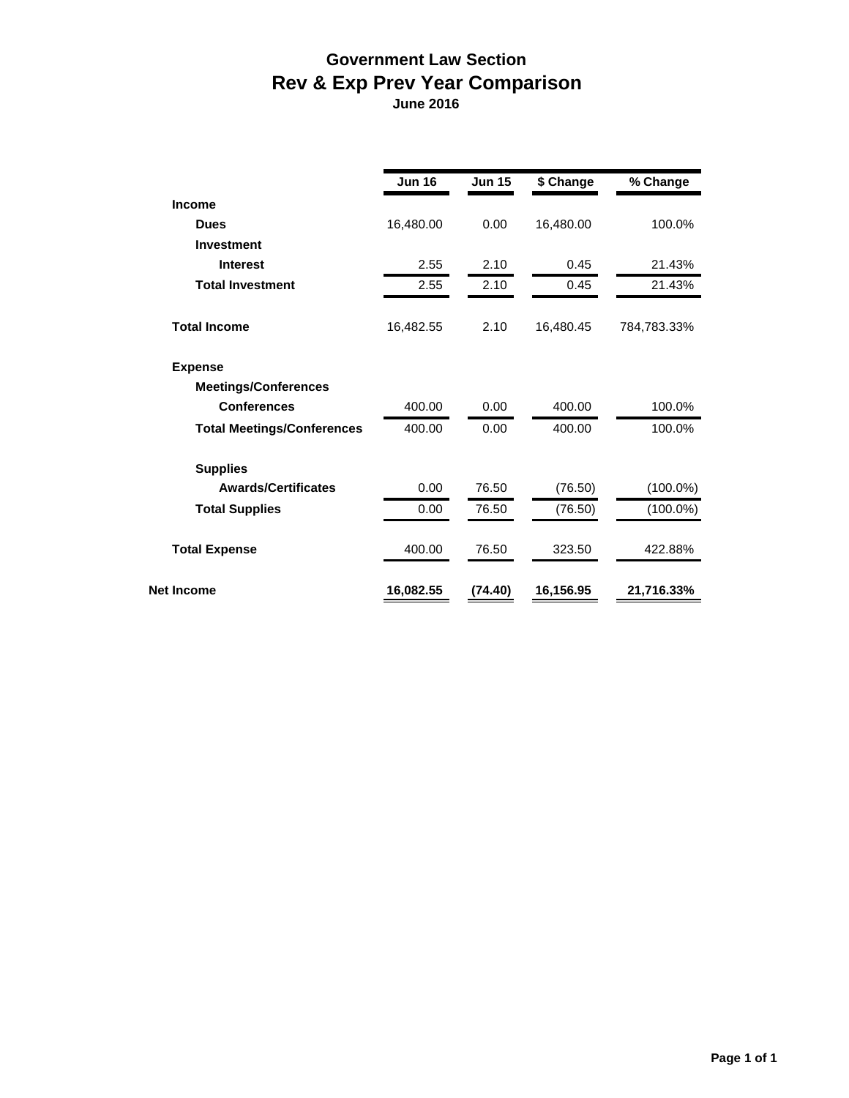## **Government Law Section Rev & Exp Prev Year Comparison**

 **June 2016**

|                                   | <b>Jun 16</b> | <b>Jun 15</b> | \$ Change | % Change    |
|-----------------------------------|---------------|---------------|-----------|-------------|
| <b>Income</b>                     |               |               |           |             |
| <b>Dues</b>                       | 16,480.00     | 0.00          | 16,480.00 | 100.0%      |
| <b>Investment</b>                 |               |               |           |             |
| <b>Interest</b>                   | 2.55          | 2.10          | 0.45      | 21.43%      |
| <b>Total Investment</b>           | 2.55          | 2.10          | 0.45      | 21.43%      |
| <b>Total Income</b>               | 16,482.55     | 2.10          | 16,480.45 | 784,783.33% |
| <b>Expense</b>                    |               |               |           |             |
| <b>Meetings/Conferences</b>       |               |               |           |             |
| <b>Conferences</b>                | 400.00        | 0.00          | 400.00    | 100.0%      |
| <b>Total Meetings/Conferences</b> | 400.00        | 0.00          | 400.00    | 100.0%      |
| <b>Supplies</b>                   |               |               |           |             |
| <b>Awards/Certificates</b>        | 0.00          | 76.50         | (76.50)   | $(100.0\%)$ |
| <b>Total Supplies</b>             | 0.00          | 76.50         | (76.50)   | $(100.0\%)$ |
| <b>Total Expense</b>              | 400.00        | 76.50         | 323.50    | 422.88%     |
| <b>Net Income</b>                 | 16,082.55     | (74.40)       | 16,156.95 | 21,716.33%  |